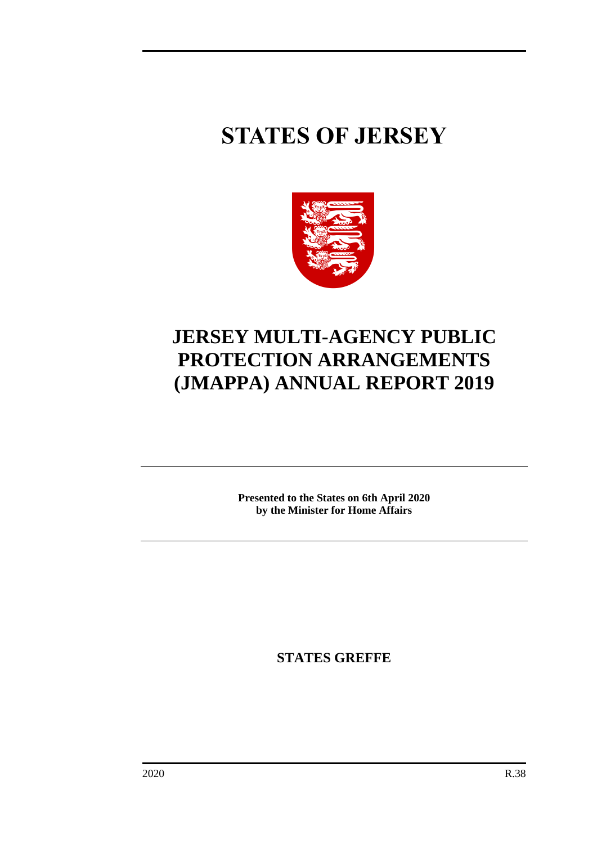# **STATES OF JERSEY**



# **JERSEY MULTI-AGENCY PUBLIC PROTECTION ARRANGEMENTS (JMAPPA) ANNUAL REPORT 2019**

**Presented to the States on 6th April 2020 by the Minister for Home Affairs**

**STATES GREFFE**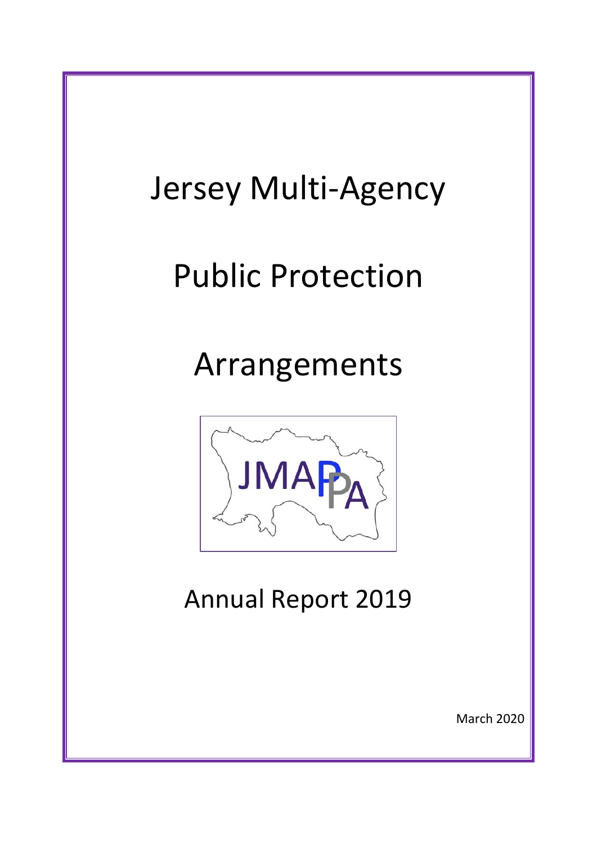# Jersey Multi-Agency Public Protection Arrangements **JMA** Annual Report 2019 March 2020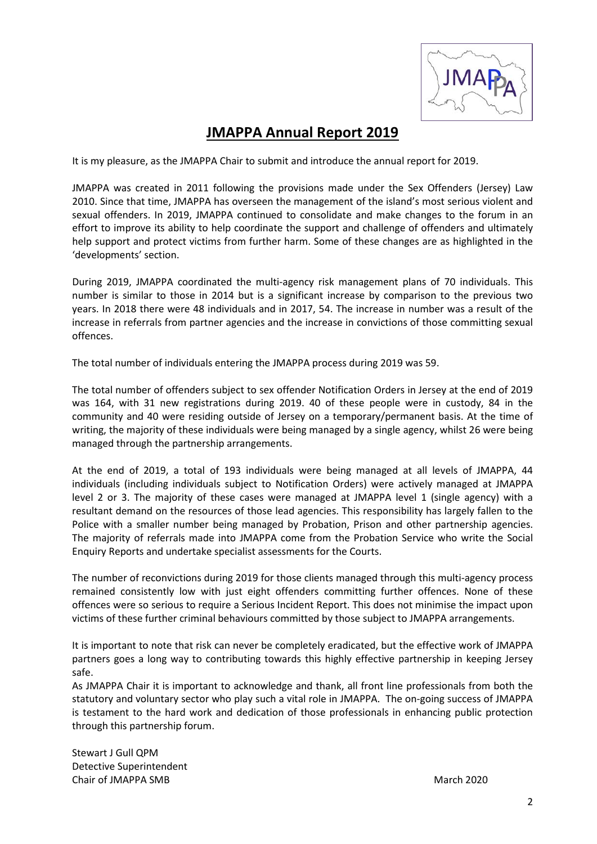

# **JMAPPA Annual Report 2019**

It is my pleasure, as the JMAPPA Chair to submit and introduce the annual report for 2019.

JMAPPA was created in 2011 following the provisions made under the Sex Offenders (Jersey) Law 2010. Since that time, JMAPPA has overseen the management of the island's most serious violent and sexual offenders. In 2019, JMAPPA continued to consolidate and make changes to the forum in an effort to improve its ability to help coordinate the support and challenge of offenders and ultimately help support and protect victims from further harm. Some of these changes are as highlighted in the 'developments' section.

During 2019, JMAPPA coordinated the multi-agency risk management plans of 70 individuals. This number is similar to those in 2014 but is a significant increase by comparison to the previous two years. In 2018 there were 48 individuals and in 2017, 54. The increase in number was a result of the increase in referrals from partner agencies and the increase in convictions of those committing sexual offences.

The total number of individuals entering the JMAPPA process during 2019 was 59.

The total number of offenders subject to sex offender Notification Orders in Jersey at the end of 2019 was 164, with 31 new registrations during 2019. 40 of these people were in custody, 84 in the community and 40 were residing outside of Jersey on a temporary/permanent basis. At the time of writing, the majority of these individuals were being managed by a single agency, whilst 26 were being managed through the partnership arrangements.

At the end of 2019, a total of 193 individuals were being managed at all levels of JMAPPA, 44 individuals (including individuals subject to Notification Orders) were actively managed at JMAPPA level 2 or 3. The majority of these cases were managed at JMAPPA level 1 (single agency) with a resultant demand on the resources of those lead agencies. This responsibility has largely fallen to the Police with a smaller number being managed by Probation, Prison and other partnership agencies. The majority of referrals made into JMAPPA come from the Probation Service who write the Social Enquiry Reports and undertake specialist assessments for the Courts.

The number of reconvictions during 2019 for those clients managed through this multi-agency process remained consistently low with just eight offenders committing further offences. None of these offences were so serious to require a Serious Incident Report. This does not minimise the impact upon victims of these further criminal behaviours committed by those subject to JMAPPA arrangements.

It is important to note that risk can never be completely eradicated, but the effective work of JMAPPA partners goes a long way to contributing towards this highly effective partnership in keeping Jersey safe.

As JMAPPA Chair it is important to acknowledge and thank, all front line professionals from both the statutory and voluntary sector who play such a vital role in JMAPPA. The on-going success of JMAPPA is testament to the hard work and dedication of those professionals in enhancing public protection through this partnership forum.

Stewart J Gull QPM Detective Superintendent Chair of JMAPPA SMB **March 2020** Chair of JMAPPA SMB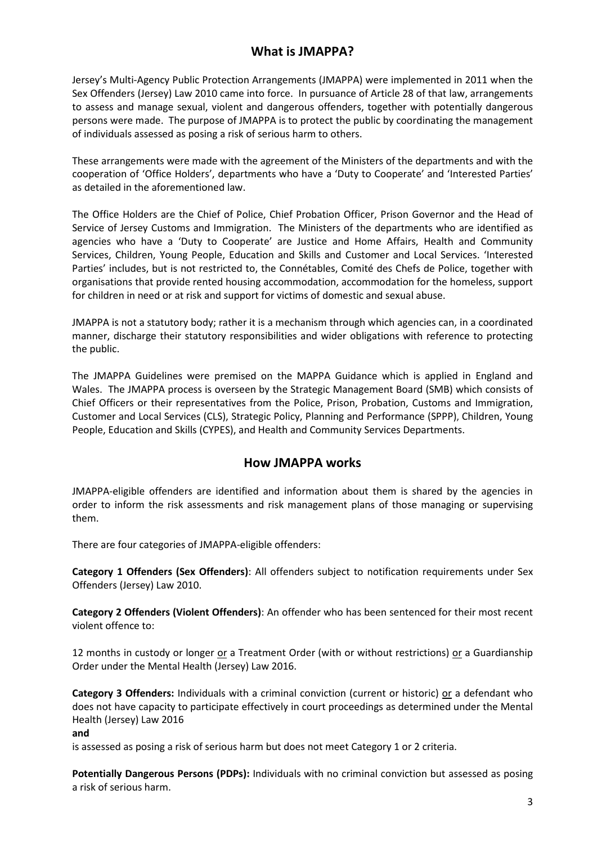#### **What is JMAPPA?**

Jersey's Multi-Agency Public Protection Arrangements (JMAPPA) were implemented in 2011 when the Sex Offenders (Jersey) Law 2010 came into force. In pursuance of Article 28 of that law, arrangements to assess and manage sexual, violent and dangerous offenders, together with potentially dangerous persons were made. The purpose of JMAPPA is to protect the public by coordinating the management of individuals assessed as posing a risk of serious harm to others.

These arrangements were made with the agreement of the Ministers of the departments and with the cooperation of 'Office Holders', departments who have a 'Duty to Cooperate' and 'Interested Parties' as detailed in the aforementioned law.

The Office Holders are the Chief of Police, Chief Probation Officer, Prison Governor and the Head of Service of Jersey Customs and Immigration. The Ministers of the departments who are identified as agencies who have a 'Duty to Cooperate' are Justice and Home Affairs, Health and Community Services, Children, Young People, Education and Skills and Customer and Local Services. 'Interested Parties' includes, but is not restricted to, the Connétables, Comité des Chefs de Police, together with organisations that provide rented housing accommodation, accommodation for the homeless, support for children in need or at risk and support for victims of domestic and sexual abuse.

JMAPPA is not a statutory body; rather it is a mechanism through which agencies can, in a coordinated manner, discharge their statutory responsibilities and wider obligations with reference to protecting the public.

The JMAPPA Guidelines were premised on the MAPPA Guidance which is applied in England and Wales. The JMAPPA process is overseen by the Strategic Management Board (SMB) which consists of Chief Officers or their representatives from the Police, Prison, Probation, Customs and Immigration, Customer and Local Services (CLS), Strategic Policy, Planning and Performance (SPPP), Children, Young People, Education and Skills (CYPES), and Health and Community Services Departments.

#### **How JMAPPA works**

JMAPPA-eligible offenders are identified and information about them is shared by the agencies in order to inform the risk assessments and risk management plans of those managing or supervising them.

There are four categories of JMAPPA-eligible offenders:

**Category 1 Offenders (Sex Offenders)**: All offenders subject to notification requirements under Sex Offenders (Jersey) Law 2010.

**Category 2 Offenders (Violent Offenders)**: An offender who has been sentenced for their most recent violent offence to:

12 months in custody or longer or a Treatment Order (with or without restrictions) or a Guardianship Order under the Mental Health (Jersey) Law 2016.

**Category 3 Offenders:** Individuals with a criminal conviction (current or historic) or a defendant who does not have capacity to participate effectively in court proceedings as determined under the Mental Health (Jersey) Law 2016

#### **and**

is assessed as posing a risk of serious harm but does not meet Category 1 or 2 criteria.

**Potentially Dangerous Persons (PDPs):** Individuals with no criminal conviction but assessed as posing a risk of serious harm.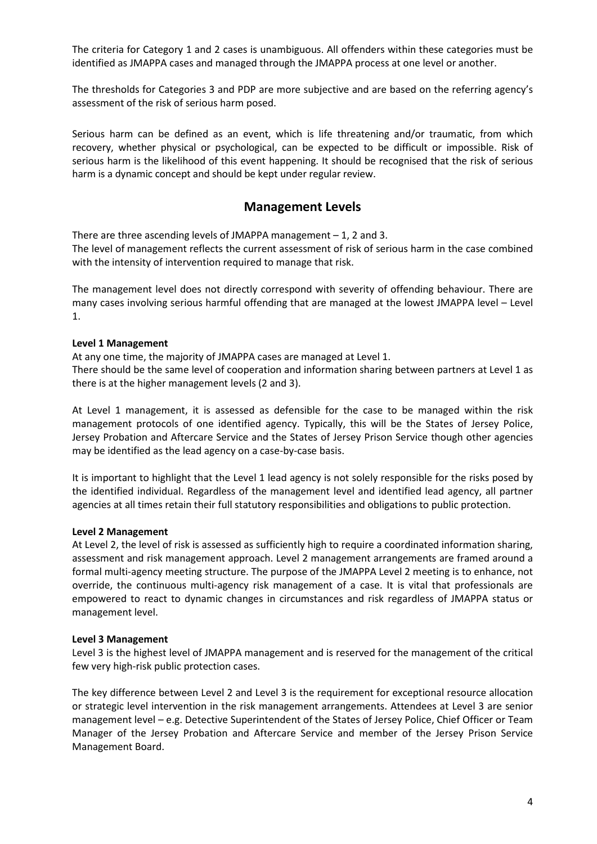The criteria for Category 1 and 2 cases is unambiguous. All offenders within these categories must be identified as JMAPPA cases and managed through the JMAPPA process at one level or another.

The thresholds for Categories 3 and PDP are more subjective and are based on the referring agency's assessment of the risk of serious harm posed.

Serious harm can be defined as an event, which is life threatening and/or traumatic, from which recovery, whether physical or psychological, can be expected to be difficult or impossible. Risk of serious harm is the likelihood of this event happening. It should be recognised that the risk of serious harm is a dynamic concept and should be kept under regular review.

#### **Management Levels**

There are three ascending levels of JMAPPA management  $-1$ , 2 and 3. The level of management reflects the current assessment of risk of serious harm in the case combined with the intensity of intervention required to manage that risk.

The management level does not directly correspond with severity of offending behaviour. There are many cases involving serious harmful offending that are managed at the lowest JMAPPA level – Level 1.

#### **Level 1 Management**

At any one time, the majority of JMAPPA cases are managed at Level 1.

There should be the same level of cooperation and information sharing between partners at Level 1 as there is at the higher management levels (2 and 3).

At Level 1 management, it is assessed as defensible for the case to be managed within the risk management protocols of one identified agency. Typically, this will be the States of Jersey Police, Jersey Probation and Aftercare Service and the States of Jersey Prison Service though other agencies may be identified as the lead agency on a case-by-case basis.

It is important to highlight that the Level 1 lead agency is not solely responsible for the risks posed by the identified individual. Regardless of the management level and identified lead agency, all partner agencies at all times retain their full statutory responsibilities and obligations to public protection.

#### **Level 2 Management**

At Level 2, the level of risk is assessed as sufficiently high to require a coordinated information sharing, assessment and risk management approach. Level 2 management arrangements are framed around a formal multi-agency meeting structure. The purpose of the JMAPPA Level 2 meeting is to enhance, not override, the continuous multi-agency risk management of a case. It is vital that professionals are empowered to react to dynamic changes in circumstances and risk regardless of JMAPPA status or management level.

#### **Level 3 Management**

Level 3 is the highest level of JMAPPA management and is reserved for the management of the critical few very high-risk public protection cases.

The key difference between Level 2 and Level 3 is the requirement for exceptional resource allocation or strategic level intervention in the risk management arrangements. Attendees at Level 3 are senior management level – e.g. Detective Superintendent of the States of Jersey Police, Chief Officer or Team Manager of the Jersey Probation and Aftercare Service and member of the Jersey Prison Service Management Board.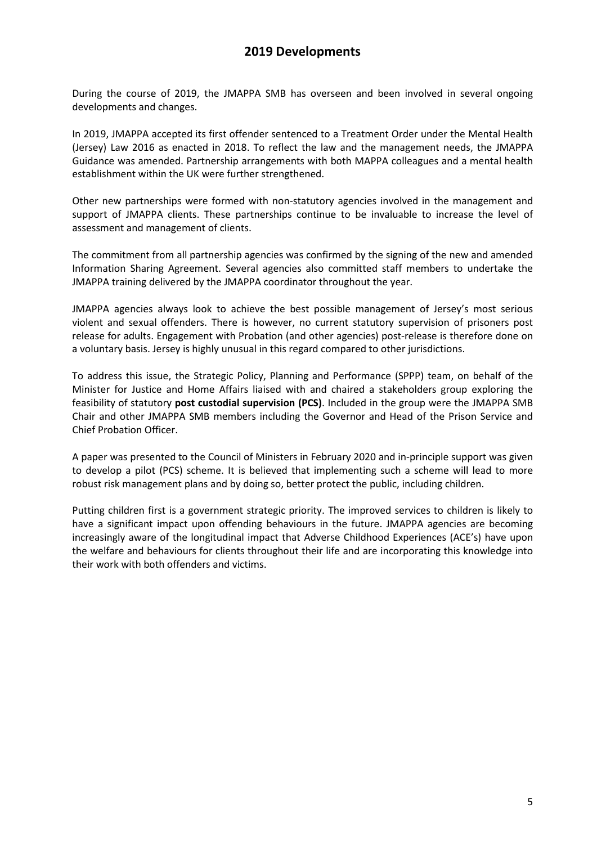#### **2019 Developments**

During the course of 2019, the JMAPPA SMB has overseen and been involved in several ongoing developments and changes.

In 2019, JMAPPA accepted its first offender sentenced to a Treatment Order under the Mental Health (Jersey) Law 2016 as enacted in 2018. To reflect the law and the management needs, the JMAPPA Guidance was amended. Partnership arrangements with both MAPPA colleagues and a mental health establishment within the UK were further strengthened.

Other new partnerships were formed with non-statutory agencies involved in the management and support of JMAPPA clients. These partnerships continue to be invaluable to increase the level of assessment and management of clients.

The commitment from all partnership agencies was confirmed by the signing of the new and amended Information Sharing Agreement. Several agencies also committed staff members to undertake the JMAPPA training delivered by the JMAPPA coordinator throughout the year.

JMAPPA agencies always look to achieve the best possible management of Jersey's most serious violent and sexual offenders. There is however, no current statutory supervision of prisoners post release for adults. Engagement with Probation (and other agencies) post-release is therefore done on a voluntary basis. Jersey is highly unusual in this regard compared to other jurisdictions.

To address this issue, the Strategic Policy, Planning and Performance (SPPP) team, on behalf of the Minister for Justice and Home Affairs liaised with and chaired a stakeholders group exploring the feasibility of statutory **post custodial supervision (PCS)**. Included in the group were the JMAPPA SMB Chair and other JMAPPA SMB members including the Governor and Head of the Prison Service and Chief Probation Officer.

A paper was presented to the Council of Ministers in February 2020 and in-principle support was given to develop a pilot (PCS) scheme. It is believed that implementing such a scheme will lead to more robust risk management plans and by doing so, better protect the public, including children.

Putting children first is a government strategic priority. The improved services to children is likely to have a significant impact upon offending behaviours in the future. JMAPPA agencies are becoming increasingly aware of the longitudinal impact that Adverse Childhood Experiences (ACE's) have upon the welfare and behaviours for clients throughout their life and are incorporating this knowledge into their work with both offenders and victims.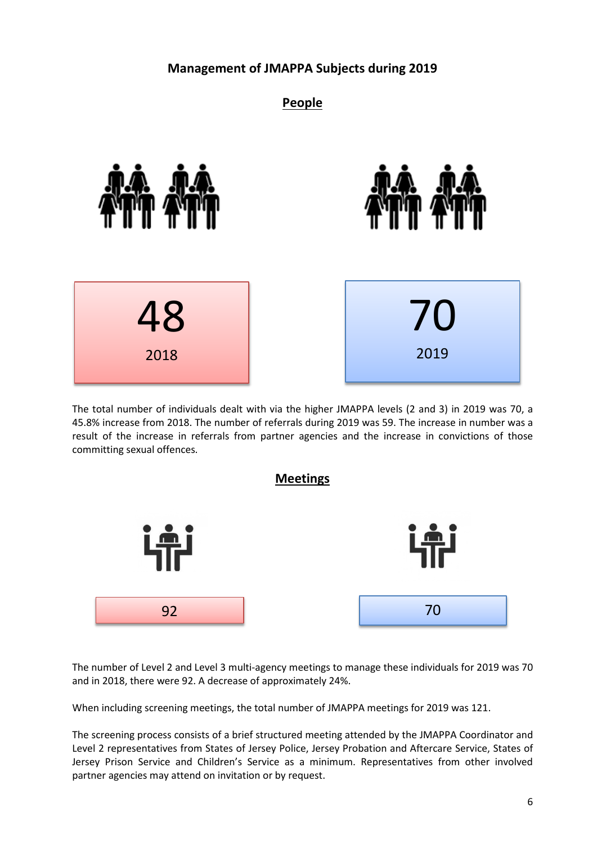#### **Management of JMAPPA Subjects during 2019**

#### **People**







The total number of individuals dealt with via the higher JMAPPA levels (2 and 3) in 2019 was 70, a 45.8% increase from 2018. The number of referrals during 2019 was 59. The increase in number was a result of the increase in referrals from partner agencies and the increase in convictions of those committing sexual offences.



The number of Level 2 and Level 3 multi-agency meetings to manage these individuals for 2019 was 70 and in 2018, there were 92. A decrease of approximately 24%.

When including screening meetings, the total number of JMAPPA meetings for 2019 was 121.

The screening process consists of a brief structured meeting attended by the JMAPPA Coordinator and Level 2 representatives from States of Jersey Police, Jersey Probation and Aftercare Service, States of Jersey Prison Service and Children's Service as a minimum. Representatives from other involved partner agencies may attend on invitation or by request.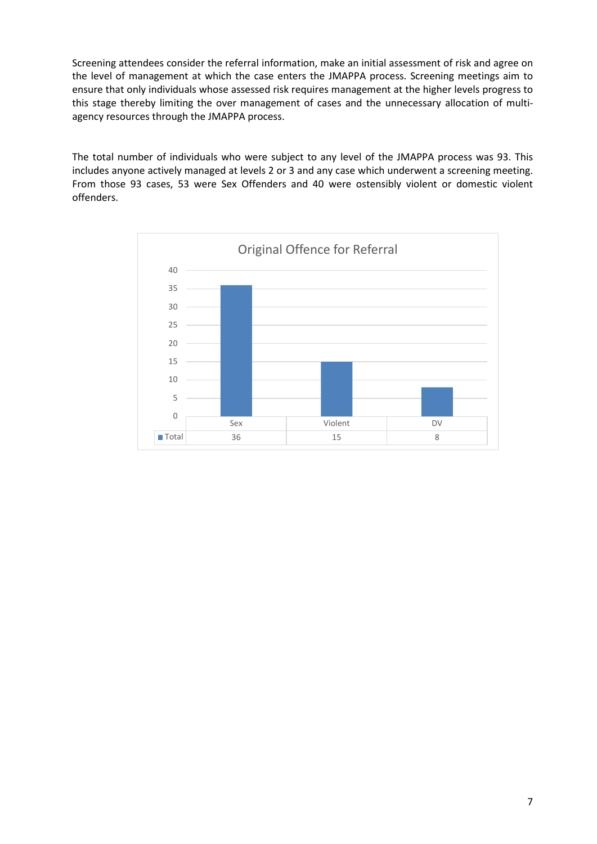Screening attendees consider the referral information, make an initial assessment of risk and agree on the level of management at which the case enters the JMAPPA process. Screening meetings aim to ensure that only individuals whose assessed risk requires management at the higher levels progress to this stage thereby limiting the over management of cases and the unnecessary allocation of multiagency resources through the JMAPPA process.

The total number of individuals who were subject to any level of the JMAPPA process was 93. This includes anyone actively managed at levels 2 or 3 and any case which underwent a screening meeting. From those 93 cases, 53 were Sex Offenders and 40 were ostensibly violent or domestic violent offenders.

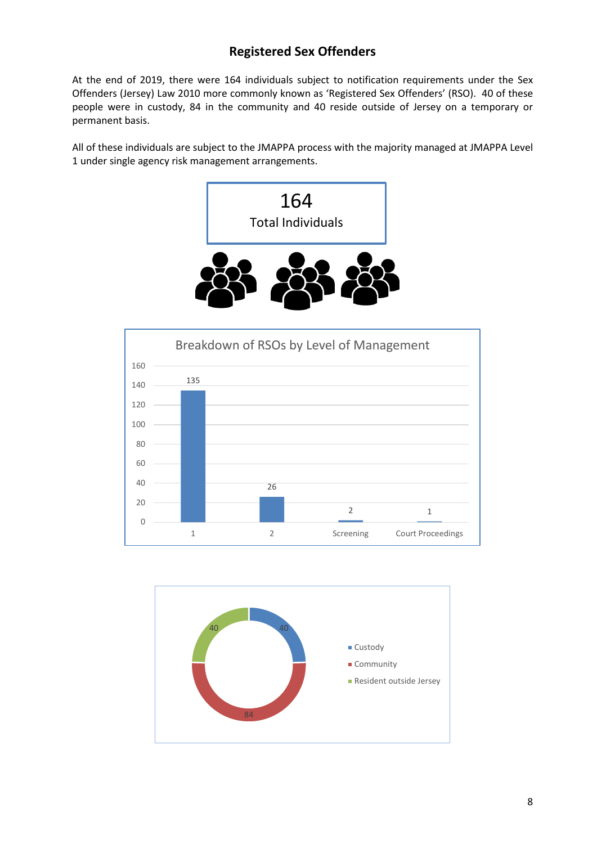## **Registered Sex Offenders**

At the end of 2019, there were 164 individuals subject to notification requirements under the Sex Offenders (Jersey) Law 2010 more commonly known as 'Registered Sex Offenders' (RSO). 40 of these people were in custody, 84 in the community and 40 reside outside of Jersey on a temporary or permanent basis.

All of these individuals are subject to the JMAPPA process with the majority managed at JMAPPA Level 1 under single agency risk management arrangements.





![](_page_9_Figure_5.jpeg)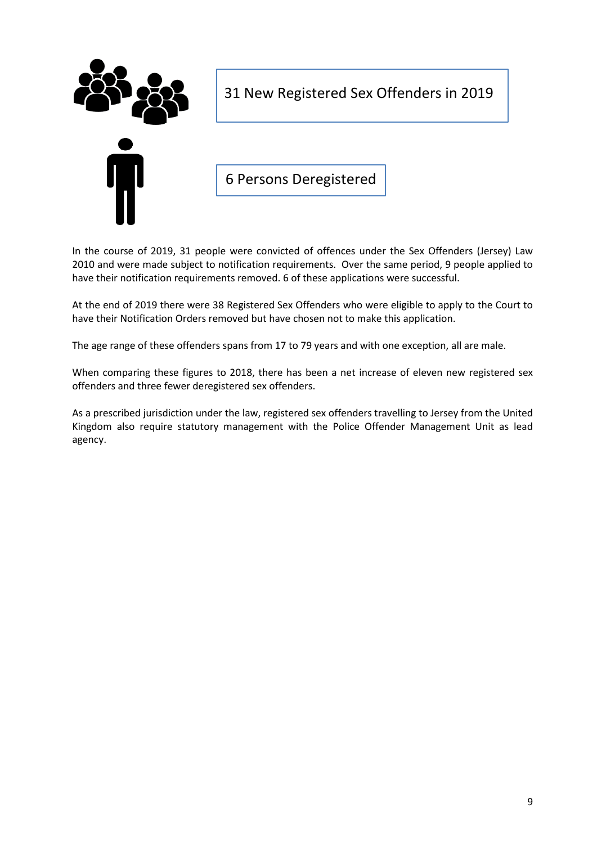![](_page_10_Picture_0.jpeg)

31 New Registered Sex Offenders in 2019

6 Persons Deregistered

In the course of 2019, 31 people were convicted of offences under the Sex Offenders (Jersey) Law 2010 and were made subject to notification requirements. Over the same period, 9 people applied to have their notification requirements removed. 6 of these applications were successful.

At the end of 2019 there were 38 Registered Sex Offenders who were eligible to apply to the Court to have their Notification Orders removed but have chosen not to make this application.

The age range of these offenders spans from 17 to 79 years and with one exception, all are male.

When comparing these figures to 2018, there has been a net increase of eleven new registered sex offenders and three fewer deregistered sex offenders.

As a prescribed jurisdiction under the law, registered sex offenders travelling to Jersey from the United Kingdom also require statutory management with the Police Offender Management Unit as lead agency.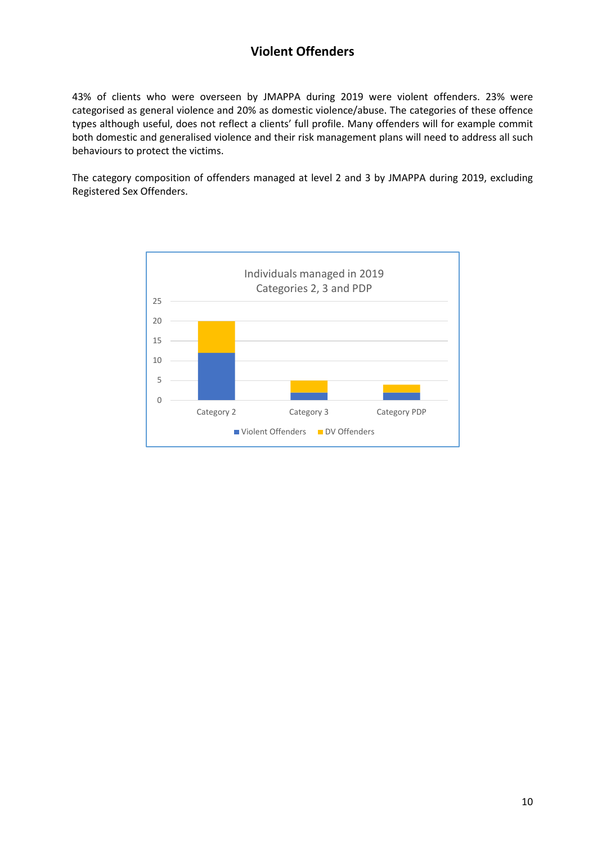## **Violent Offenders**

43% of clients who were overseen by JMAPPA during 2019 were violent offenders. 23% were categorised as general violence and 20% as domestic violence/abuse. The categories of these offence types although useful, does not reflect a clients' full profile. Many offenders will for example commit both domestic and generalised violence and their risk management plans will need to address all such behaviours to protect the victims.

The category composition of offenders managed at level 2 and 3 by JMAPPA during 2019, excluding Registered Sex Offenders.

![](_page_11_Figure_3.jpeg)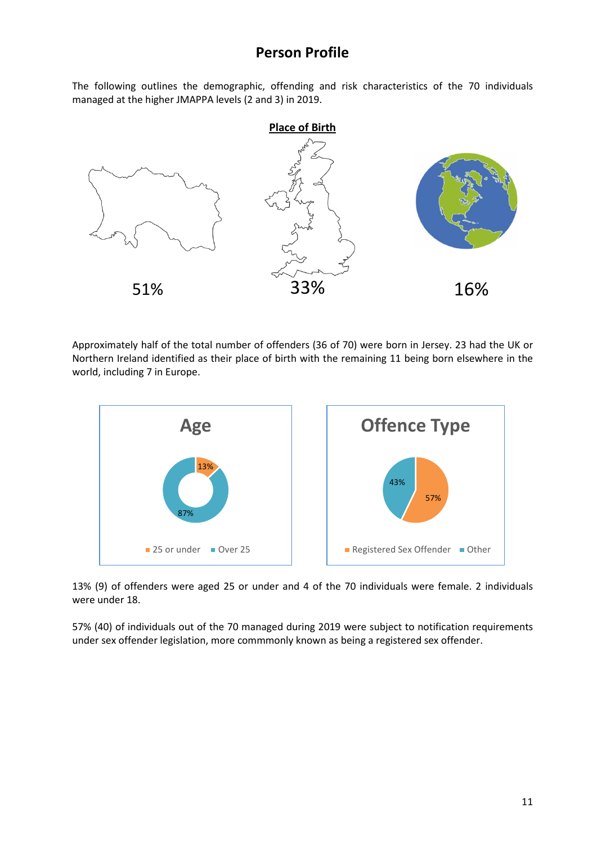## **Person Profile**

The following outlines the demographic, offending and risk characteristics of the 70 individuals managed at the higher JMAPPA levels (2 and 3) in 2019.

![](_page_12_Figure_2.jpeg)

Approximately half of the total number of offenders (36 of 70) were born in Jersey. 23 had the UK or Northern Ireland identified as their place of birth with the remaining 11 being born elsewhere in the world, including 7 in Europe.

![](_page_12_Figure_4.jpeg)

13% (9) of offenders were aged 25 or under and 4 of the 70 individuals were female. 2 individuals were under 18.

57% (40) of individuals out of the 70 managed during 2019 were subject to notification requirements under sex offender legislation, more commmonly known as being a registered sex offender.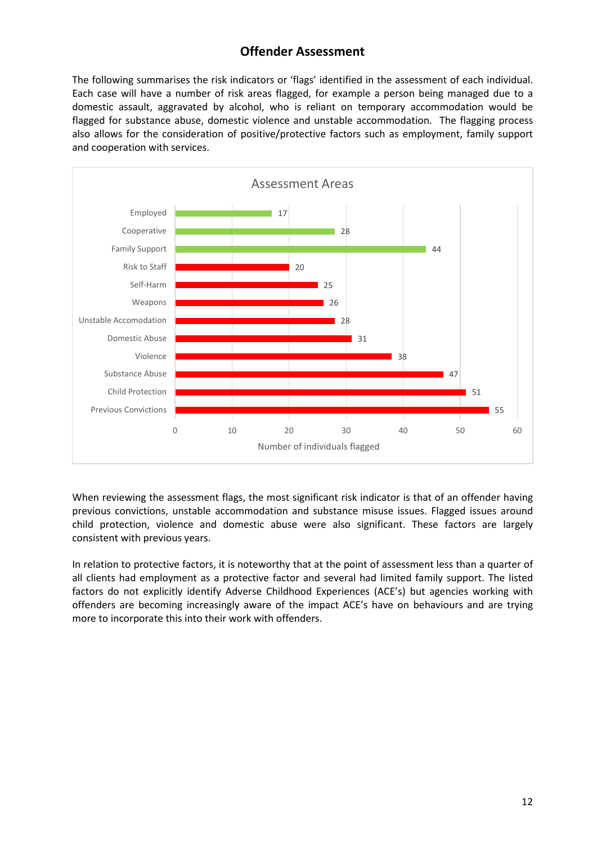#### **Offender Assessment**

The following summarises the risk indicators or 'flags' identified in the assessment of each individual. Each case will have a number of risk areas flagged, for example a person being managed due to a domestic assault, aggravated by alcohol, who is reliant on temporary accommodation would be flagged for substance abuse, domestic violence and unstable accommodation. The flagging process also allows for the consideration of positive/protective factors such as employment, family support and cooperation with services.

![](_page_13_Figure_2.jpeg)

When reviewing the assessment flags, the most significant risk indicator is that of an offender having previous convictions, unstable accommodation and substance misuse issues. Flagged issues around child protection, violence and domestic abuse were also significant. These factors are largely consistent with previous years.

In relation to protective factors, it is noteworthy that at the point of assessment less than a quarter of all clients had employment as a protective factor and several had limited family support. The listed factors do not explicitly identify Adverse Childhood Experiences (ACE's) but agencies working with offenders are becoming increasingly aware of the impact ACE's have on behaviours and are trying more to incorporate this into their work with offenders.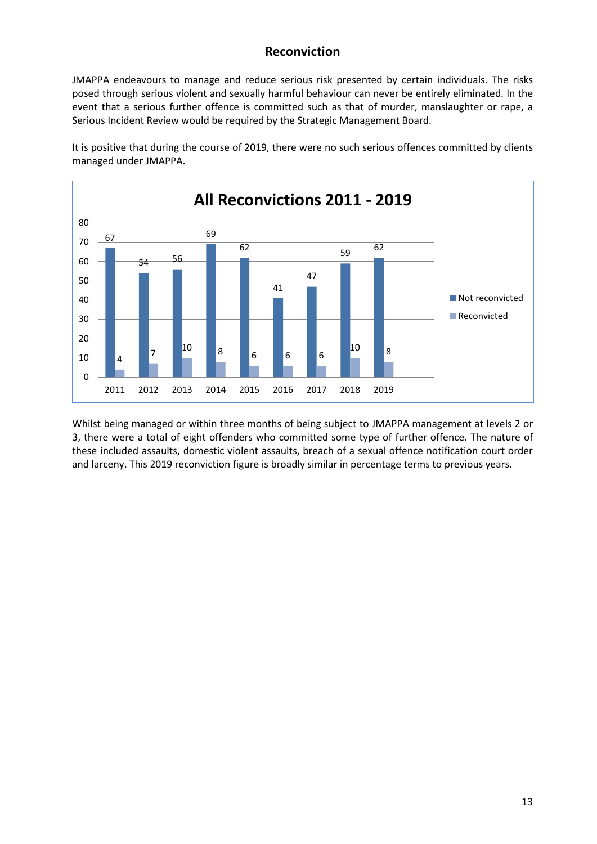#### **Reconviction**

JMAPPA endeavours to manage and reduce serious risk presented by certain individuals. The risks posed through serious violent and sexually harmful behaviour can never be entirely eliminated. In the event that a serious further offence is committed such as that of murder, manslaughter or rape, a Serious Incident Review would be required by the Strategic Management Board.

![](_page_14_Figure_2.jpeg)

It is positive that during the course of 2019, there were no such serious offences committed by clients managed under JMAPPA.

Whilst being managed or within three months of being subject to JMAPPA management at levels 2 or 3, there were a total of eight offenders who committed some type of further offence. The nature of these included assaults, domestic violent assaults, breach of a sexual offence notification court order and larceny. This 2019 reconviction figure is broadly similar in percentage terms to previous years.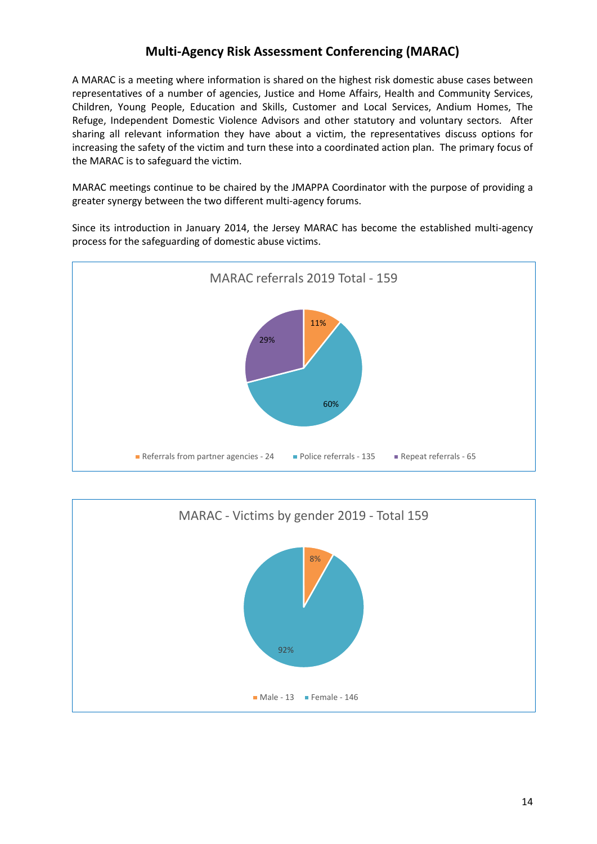#### **Multi-Agency Risk Assessment Conferencing (MARAC)**

A MARAC is a meeting where information is shared on the highest risk domestic abuse cases between representatives of a number of agencies, Justice and Home Affairs, Health and Community Services, Children, Young People, Education and Skills, Customer and Local Services, Andium Homes, The Refuge, Independent Domestic Violence Advisors and other statutory and voluntary sectors. After sharing all relevant information they have about a victim, the representatives discuss options for increasing the safety of the victim and turn these into a coordinated action plan. The primary focus of the MARAC is to safeguard the victim.

MARAC meetings continue to be chaired by the JMAPPA Coordinator with the purpose of providing a greater synergy between the two different multi-agency forums.

Since its introduction in January 2014, the Jersey MARAC has become the established multi-agency process for the safeguarding of domestic abuse victims.

![](_page_15_Figure_4.jpeg)

![](_page_15_Figure_5.jpeg)